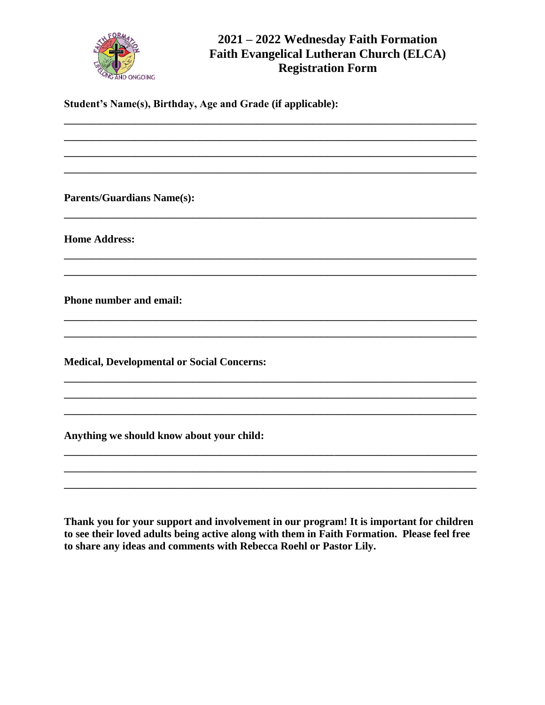

**Student's Name(s), Birthday, Age and Grade (if applicable):**

\_\_\_\_\_\_\_\_\_\_\_\_\_\_\_\_\_\_\_\_\_\_\_\_\_\_\_\_\_\_\_\_\_\_\_\_\_\_\_\_\_\_\_\_\_\_\_\_\_\_\_\_\_\_\_\_\_\_ \_\_\_\_\_\_\_\_\_\_\_\_\_\_\_\_\_\_\_\_\_\_\_\_\_\_\_\_\_\_\_\_\_\_\_\_\_\_\_\_\_\_\_\_\_\_\_\_\_\_\_\_\_\_\_\_\_\_ \_\_\_\_\_\_\_\_\_\_\_\_\_\_\_\_\_\_\_\_\_\_\_\_\_\_\_\_\_\_\_\_\_\_\_\_\_\_\_\_\_\_\_\_\_\_\_\_\_\_\_\_\_\_\_\_\_\_ \_\_\_\_\_\_\_\_\_\_\_\_\_\_\_\_\_\_\_\_\_\_\_\_\_\_\_\_\_\_\_\_\_\_\_\_\_\_\_\_\_\_\_\_\_\_\_\_\_\_\_\_\_\_\_\_\_\_

\_\_\_\_\_\_\_\_\_\_\_\_\_\_\_\_\_\_\_\_\_\_\_\_\_\_\_\_\_\_\_\_\_\_\_\_\_\_\_\_\_\_\_\_\_\_\_\_\_\_\_\_\_\_\_\_\_\_

\_\_\_\_\_\_\_\_\_\_\_\_\_\_\_\_\_\_\_\_\_\_\_\_\_\_\_\_\_\_\_\_\_\_\_\_\_\_\_\_\_\_\_\_\_\_\_\_\_\_\_\_\_\_\_\_\_\_ \_\_\_\_\_\_\_\_\_\_\_\_\_\_\_\_\_\_\_\_\_\_\_\_\_\_\_\_\_\_\_\_\_\_\_\_\_\_\_\_\_\_\_\_\_\_\_\_\_\_\_\_\_\_\_\_\_\_

\_\_\_\_\_\_\_\_\_\_\_\_\_\_\_\_\_\_\_\_\_\_\_\_\_\_\_\_\_\_\_\_\_\_\_\_\_\_\_\_\_\_\_\_\_\_\_\_\_\_\_\_\_\_\_\_\_\_ \_\_\_\_\_\_\_\_\_\_\_\_\_\_\_\_\_\_\_\_\_\_\_\_\_\_\_\_\_\_\_\_\_\_\_\_\_\_\_\_\_\_\_\_\_\_\_\_\_\_\_\_\_\_\_\_\_\_

\_\_\_\_\_\_\_\_\_\_\_\_\_\_\_\_\_\_\_\_\_\_\_\_\_\_\_\_\_\_\_\_\_\_\_\_\_\_\_\_\_\_\_\_\_\_\_\_\_\_\_\_\_\_\_\_\_\_ \_\_\_\_\_\_\_\_\_\_\_\_\_\_\_\_\_\_\_\_\_\_\_\_\_\_\_\_\_\_\_\_\_\_\_\_\_\_\_\_\_\_\_\_\_\_\_\_\_\_\_\_\_\_\_\_\_\_ \_\_\_\_\_\_\_\_\_\_\_\_\_\_\_\_\_\_\_\_\_\_\_\_\_\_\_\_\_\_\_\_\_\_\_\_\_\_\_\_\_\_\_\_\_\_\_\_\_\_\_\_\_\_\_\_\_\_

\_\_\_\_\_\_\_\_\_\_\_\_\_\_\_\_\_\_\_\_\_\_\_\_\_\_\_\_\_\_\_\_\_\_\_\_\_\_\_\_\_\_\_\_\_\_\_\_\_\_\_\_\_\_\_\_\_\_ \_\_\_\_\_\_\_\_\_\_\_\_\_\_\_\_\_\_\_\_\_\_\_\_\_\_\_\_\_\_\_\_\_\_\_\_\_\_\_\_\_\_\_\_\_\_\_\_\_\_\_\_\_\_\_\_\_\_ \_\_\_\_\_\_\_\_\_\_\_\_\_\_\_\_\_\_\_\_\_\_\_\_\_\_\_\_\_\_\_\_\_\_\_\_\_\_\_\_\_\_\_\_\_\_\_\_\_\_\_\_\_\_\_\_\_\_

**Parents/Guardians Name(s):** 

**Home Address:**

**Phone number and email:**

**Medical, Developmental or Social Concerns:**

**Anything we should know about your child:**

**Thank you for your support and involvement in our program! It is important for children to see their loved adults being active along with them in Faith Formation. Please feel free to share any ideas and comments with Rebecca Roehl or Pastor Lily.**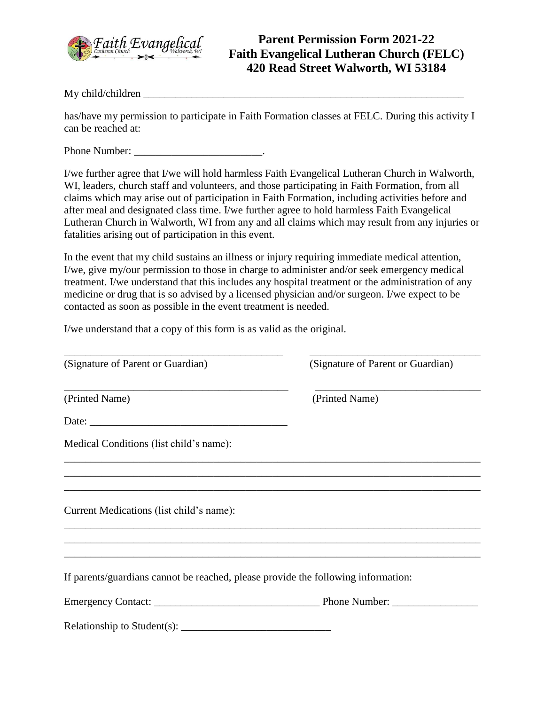

My child/children

has/have my permission to participate in Faith Formation classes at FELC. During this activity I can be reached at:

Phone Number:  $\qquad \qquad$ 

I/we further agree that I/we will hold harmless Faith Evangelical Lutheran Church in Walworth, WI, leaders, church staff and volunteers, and those participating in Faith Formation, from all claims which may arise out of participation in Faith Formation, including activities before and after meal and designated class time. I/we further agree to hold harmless Faith Evangelical Lutheran Church in Walworth, WI from any and all claims which may result from any injuries or fatalities arising out of participation in this event.

In the event that my child sustains an illness or injury requiring immediate medical attention, I/we, give my/our permission to those in charge to administer and/or seek emergency medical treatment. I/we understand that this includes any hospital treatment or the administration of any medicine or drug that is so advised by a licensed physician and/or surgeon. I/we expect to be contacted as soon as possible in the event treatment is needed.

I/we understand that a copy of this form is as valid as the original.

| (Signature of Parent or Guardian)                                                                                            | (Signature of Parent or Guardian) |
|------------------------------------------------------------------------------------------------------------------------------|-----------------------------------|
| (Printed Name)                                                                                                               | (Printed Name)                    |
|                                                                                                                              |                                   |
| Medical Conditions (list child's name):                                                                                      |                                   |
|                                                                                                                              |                                   |
| ,我们也不能会在这里,我们的人们就会在这里,我们的人们就会在这里,我们的人们就会在这里,我们的人们就会在这里,我们的人们就会在这里,我们的人们就会在这里,我们的<br>Current Medications (list child's name): |                                   |
|                                                                                                                              |                                   |
| If parents/guardians cannot be reached, please provide the following information:                                            |                                   |
|                                                                                                                              |                                   |
|                                                                                                                              |                                   |